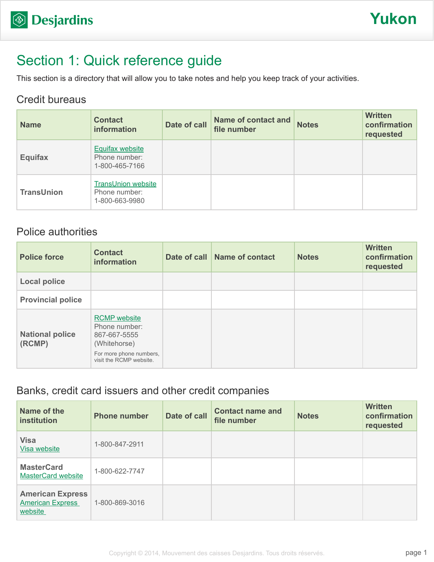# Section 1: Quick reference guide

This section is a directory that will allow you to take notes and help you keep track of your activities.

### Credit bureaus

| <b>Name</b>       | <b>Contact</b><br>information                                | Date of call | <b>Name of contact and</b><br>file number | <b>Notes</b> | <b>Written</b><br>confirmation<br>requested |
|-------------------|--------------------------------------------------------------|--------------|-------------------------------------------|--------------|---------------------------------------------|
| <b>Equifax</b>    | <b>Equifax website</b><br>Phone number:<br>1-800-465-7166    |              |                                           |              |                                             |
| <b>TransUnion</b> | <b>TransUnion website</b><br>Phone number:<br>1-800-663-9980 |              |                                           |              |                                             |

### Police authorities

| <b>Police force</b>              | <b>Contact</b><br>information                                                                                              | Date of call Name of contact | <b>Notes</b> | <b>Written</b><br>confirmation<br>requested |
|----------------------------------|----------------------------------------------------------------------------------------------------------------------------|------------------------------|--------------|---------------------------------------------|
| <b>Local police</b>              |                                                                                                                            |                              |              |                                             |
| <b>Provincial police</b>         |                                                                                                                            |                              |              |                                             |
| <b>National police</b><br>(RCMP) | <b>RCMP</b> website<br>Phone number:<br>867-667-5555<br>(Whitehorse)<br>For more phone numbers,<br>visit the RCMP website. |                              |              |                                             |

### Banks, credit card issuers and other credit companies

| Name of the<br>institution                                    | <b>Phone number</b> | Date of call | <b>Contact name and</b><br>file number | <b>Notes</b> | <b>Written</b><br>confirmation<br>requested |
|---------------------------------------------------------------|---------------------|--------------|----------------------------------------|--------------|---------------------------------------------|
| <b>Visa</b><br>Visa website                                   | 1-800-847-2911      |              |                                        |              |                                             |
| <b>MasterCard</b><br><b>MasterCard website</b>                | 1-800-622-7747      |              |                                        |              |                                             |
| <b>American Express</b><br><b>American Express</b><br>website | 1-800-869-3016      |              |                                        |              |                                             |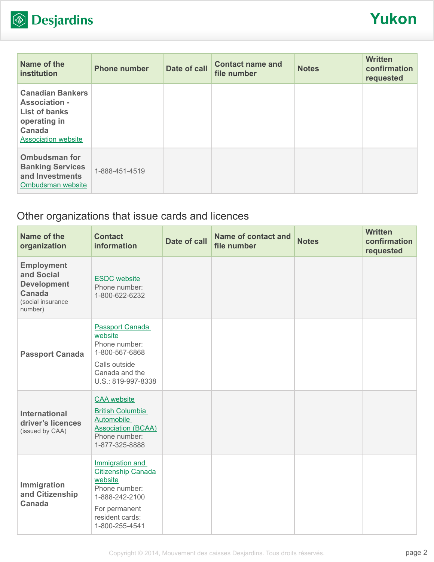

| Name of the<br>institution                                                                                                      | <b>Phone number</b> | Date of call | <b>Contact name and</b><br>file number | <b>Notes</b> | <b>Written</b><br>confirmation<br>requested |
|---------------------------------------------------------------------------------------------------------------------------------|---------------------|--------------|----------------------------------------|--------------|---------------------------------------------|
| <b>Canadian Bankers</b><br><b>Association -</b><br><b>List of banks</b><br>operating in<br>Canada<br><b>Association website</b> |                     |              |                                        |              |                                             |
| <b>Ombudsman for</b><br><b>Banking Services</b><br>and Investments<br>Ombudsman website                                         | 1-888-451-4519      |              |                                        |              |                                             |

# Other organizations that issue cards and licences

| Name of the<br>organization                                                                            | <b>Contact</b><br>information                                                                                                                    | <b>Date of call</b> | <b>Name of contact and</b><br>file number | <b>Notes</b> | <b>Written</b><br>confirmation<br>requested |
|--------------------------------------------------------------------------------------------------------|--------------------------------------------------------------------------------------------------------------------------------------------------|---------------------|-------------------------------------------|--------------|---------------------------------------------|
| <b>Employment</b><br>and Social<br><b>Development</b><br><b>Canada</b><br>(social insurance<br>number) | <b>ESDC</b> website<br>Phone number:<br>1-800-622-6232                                                                                           |                     |                                           |              |                                             |
| <b>Passport Canada</b>                                                                                 | Passport Canada<br>website<br>Phone number:<br>1-800-567-6868<br>Calls outside<br>Canada and the<br>U.S.: 819-997-8338                           |                     |                                           |              |                                             |
| <b>International</b><br>driver's licences<br>(issued by CAA)                                           | <b>CAA</b> website<br><b>British Columbia</b><br><b>Automobile</b><br><b>Association (BCAA)</b><br>Phone number:<br>1-877-325-8888               |                     |                                           |              |                                             |
| Immigration<br>and Citizenship<br><b>Canada</b>                                                        | Immigration and<br><b>Citizenship Canada</b><br>website<br>Phone number:<br>1-888-242-2100<br>For permanent<br>resident cards:<br>1-800-255-4541 |                     |                                           |              |                                             |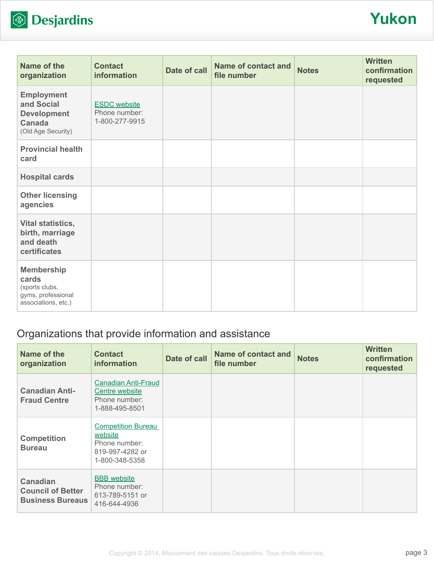

| Name of the<br>organization                                                                  | <b>Contact</b><br>information                          | Date of call | <b>Name of contact and</b><br>file number | <b>Notes</b> | <b>Written</b><br>confirmation<br>requested |
|----------------------------------------------------------------------------------------------|--------------------------------------------------------|--------------|-------------------------------------------|--------------|---------------------------------------------|
| <b>Employment</b><br>and Social<br><b>Development</b><br><b>Canada</b><br>(Old Age Security) | <b>ESDC</b> website<br>Phone number:<br>1-800-277-9915 |              |                                           |              |                                             |
| <b>Provincial health</b><br>card                                                             |                                                        |              |                                           |              |                                             |
| <b>Hospital cards</b>                                                                        |                                                        |              |                                           |              |                                             |
| <b>Other licensing</b><br>agencies                                                           |                                                        |              |                                           |              |                                             |
| Vital statistics,<br>birth, marriage<br>and death<br>certificates                            |                                                        |              |                                           |              |                                             |
| <b>Membership</b><br>cards<br>(sports clubs,<br>gyms, professional<br>associations, etc.)    |                                                        |              |                                           |              |                                             |

## Organizations that provide information and assistance

| Name of the<br>organization                                            | <b>Contact</b><br>information                                                              | Date of call | <b>Name of contact and</b><br>file number | <b>Notes</b> | <b>Written</b><br>confirmation<br>requested |
|------------------------------------------------------------------------|--------------------------------------------------------------------------------------------|--------------|-------------------------------------------|--------------|---------------------------------------------|
| <b>Canadian Anti-</b><br><b>Fraud Centre</b>                           | <b>Canadian Anti-Fraud</b><br>Centre website<br>Phone number:<br>1-888-495-8501            |              |                                           |              |                                             |
| <b>Competition</b><br><b>Bureau</b>                                    | <b>Competition Bureau</b><br>website<br>Phone number:<br>819-997-4282 or<br>1-800-348-5358 |              |                                           |              |                                             |
| <b>Canadian</b><br><b>Council of Better</b><br><b>Business Bureaus</b> | <b>BBB</b> website<br>Phone number:<br>613-789-5151 or<br>416-644-4936                     |              |                                           |              |                                             |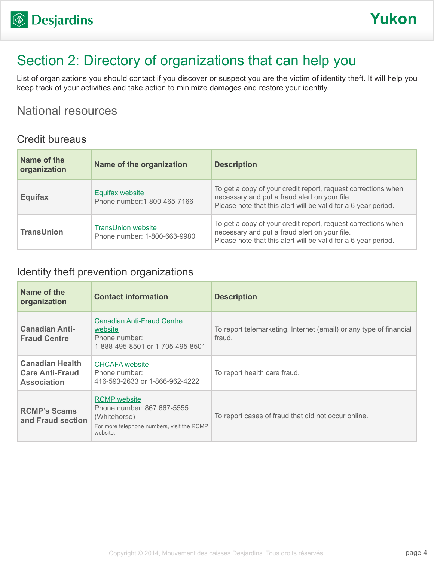# Section 2: Directory of organizations that can help you

List of organizations you should contact if you discover or suspect you are the victim of identity theft. It will help you keep track of your activities and take action to minimize damages and restore your identity.

## National resources

#### Credit bureaus

| Name of the<br>organization | Name of the organization                                  | <b>Description</b>                                                                                                                                                               |
|-----------------------------|-----------------------------------------------------------|----------------------------------------------------------------------------------------------------------------------------------------------------------------------------------|
| <b>Equifax</b>              | <b>Equifax website</b><br>Phone number: 1-800-465-7166    | To get a copy of your credit report, request corrections when<br>necessary and put a fraud alert on your file.<br>Please note that this alert will be valid for a 6 year period. |
| <b>TransUnion</b>           | <b>TransUnion website</b><br>Phone number: 1-800-663-9980 | To get a copy of your credit report, request corrections when<br>necessary and put a fraud alert on your file.<br>Please note that this alert will be valid for a 6 year period. |

### Identity theft prevention organizations

| Name of the<br>organization                                            | <b>Contact information</b>                                                                                                  | <b>Description</b>                                                           |
|------------------------------------------------------------------------|-----------------------------------------------------------------------------------------------------------------------------|------------------------------------------------------------------------------|
| <b>Canadian Anti-</b><br><b>Fraud Centre</b>                           | Canadian Anti-Fraud Centre<br>website<br>Phone number:<br>1-888-495-8501 or 1-705-495-8501                                  | To report telemarketing, Internet (email) or any type of financial<br>fraud. |
| <b>Canadian Health</b><br><b>Care Anti-Fraud</b><br><b>Association</b> | <b>CHCAFA</b> website<br>Phone number:<br>416-593-2633 or 1-866-962-4222                                                    | To report health care fraud.                                                 |
| <b>RCMP's Scams</b><br>and Fraud section                               | <b>RCMP</b> website<br>Phone number: 867 667-5555<br>(Whitehorse)<br>For more telephone numbers, visit the RCMP<br>website. | To report cases of fraud that did not occur online.                          |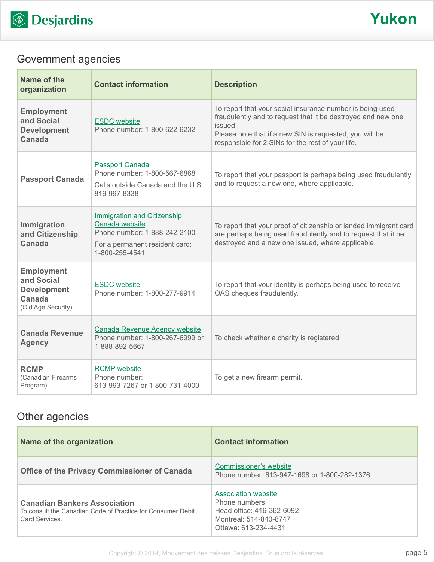

# Government agencies

| Name of the<br>organization                                                           | <b>Contact information</b>                                                                                                               | <b>Description</b>                                                                                                                                                                                                                                   |
|---------------------------------------------------------------------------------------|------------------------------------------------------------------------------------------------------------------------------------------|------------------------------------------------------------------------------------------------------------------------------------------------------------------------------------------------------------------------------------------------------|
| <b>Employment</b><br>and Social<br><b>Development</b><br>Canada                       | <b>ESDC</b> website<br>Phone number: 1-800-622-6232                                                                                      | To report that your social insurance number is being used<br>fraudulently and to request that it be destroyed and new one<br>issued.<br>Please note that if a new SIN is requested, you will be<br>responsible for 2 SINs for the rest of your life. |
| <b>Passport Canada</b>                                                                | <b>Passport Canada</b><br>Phone number: 1-800-567-6868<br>Calls outside Canada and the U.S.:<br>819-997-8338                             | To report that your passport is perhaps being used fraudulently<br>and to request a new one, where applicable.                                                                                                                                       |
| Immigration<br>and Citizenship<br><b>Canada</b>                                       | <b>Immigration and Citizenship</b><br>Canada website<br>Phone number: 1-888-242-2100<br>For a permanent resident card:<br>1-800-255-4541 | To report that your proof of citizenship or landed immigrant card<br>are perhaps being used fraudulently and to request that it be<br>destroyed and a new one issued, where applicable.                                                              |
| <b>Employment</b><br>and Social<br><b>Development</b><br>Canada<br>(Old Age Security) | <b>ESDC</b> website<br>Phone number: 1-800-277-9914                                                                                      | To report that your identity is perhaps being used to receive<br>OAS cheques fraudulently.                                                                                                                                                           |
| <b>Canada Revenue</b><br><b>Agency</b>                                                | <b>Canada Revenue Agency website</b><br>Phone number: 1-800-267-6999 or<br>1-888-892-5667                                                | To check whether a charity is registered.                                                                                                                                                                                                            |
| <b>RCMP</b><br>(Canadian Firearms<br>Program)                                         | <b>RCMP</b> website<br>Phone number:<br>613-993-7267 or 1-800-731-4000                                                                   | To get a new firearm permit.                                                                                                                                                                                                                         |

# Other agencies

| Name of the organization                                                                                            | <b>Contact information</b>                                                                                                  |
|---------------------------------------------------------------------------------------------------------------------|-----------------------------------------------------------------------------------------------------------------------------|
| <b>Office of the Privacy Commissioner of Canada</b>                                                                 | Commissioner's website<br>Phone number: 613-947-1698 or 1-800-282-1376                                                      |
| <b>Canadian Bankers Association</b><br>To consult the Canadian Code of Practice for Consumer Debit<br>Card Services | <b>Association website</b><br>Phone numbers:<br>Head office: 416-362-6092<br>Montreal: 514-840-8747<br>Ottawa: 613-234-4431 |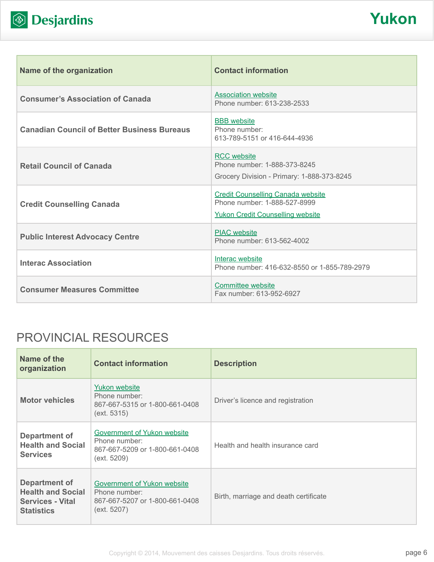

| Name of the organization                           | <b>Contact information</b>                                                                                          |
|----------------------------------------------------|---------------------------------------------------------------------------------------------------------------------|
| <b>Consumer's Association of Canada</b>            | <b>Association website</b><br>Phone number: 613-238-2533                                                            |
| <b>Canadian Council of Better Business Bureaus</b> | <b>BBB</b> website<br>Phone number:<br>613-789-5151 or 416-644-4936                                                 |
| <b>Retail Council of Canada</b>                    | <b>RCC</b> website<br>Phone number: 1-888-373-8245<br>Grocery Division - Primary: 1-888-373-8245                    |
| <b>Credit Counselling Canada</b>                   | <b>Credit Counselling Canada website</b><br>Phone number: 1-888-527-8999<br><b>Yukon Credit Counselling website</b> |
| <b>Public Interest Advocacy Centre</b>             | <b>PIAC</b> website<br>Phone number: 613-562-4002                                                                   |
| <b>Interac Association</b>                         | Interac website<br>Phone number: 416-632-8550 or 1-855-789-2979                                                     |
| <b>Consumer Measures Committee</b>                 | <b>Committee website</b><br>Fax number: 613-952-6927                                                                |

# PROVINCIAL RESOURCES

| Name of the<br>organization                                                               | <b>Contact information</b>                                                                    | <b>Description</b>                    |
|-------------------------------------------------------------------------------------------|-----------------------------------------------------------------------------------------------|---------------------------------------|
| <b>Motor vehicles</b>                                                                     | <b>Yukon website</b><br>Phone number:<br>867-667-5315 or 1-800-661-0408<br>(ext. 5315)        | Driver's licence and registration     |
| <b>Department of</b><br><b>Health and Social</b><br><b>Services</b>                       | Government of Yukon website<br>Phone number:<br>867-667-5209 or 1-800-661-0408<br>(ext. 5209) | Health and health insurance card      |
| Department of<br><b>Health and Social</b><br><b>Services - Vital</b><br><b>Statistics</b> | Government of Yukon website<br>Phone number:<br>867-667-5207 or 1-800-661-0408<br>(ext. 5207) | Birth, marriage and death certificate |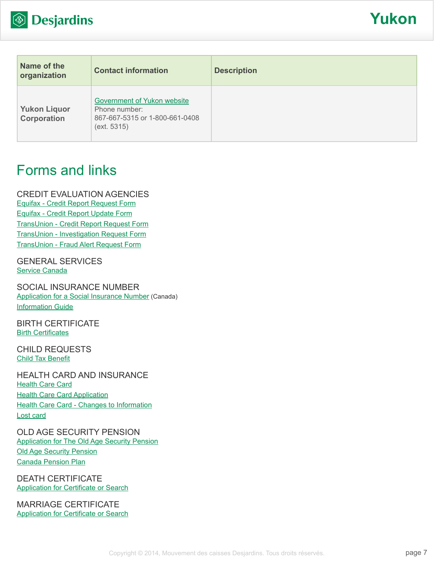

| Name of the<br>organization               | <b>Contact information</b>                                                                           | <b>Description</b> |
|-------------------------------------------|------------------------------------------------------------------------------------------------------|--------------------|
| <b>Yukon Liquor</b><br><b>Corporation</b> | <b>Government of Yukon website</b><br>Phone number:<br>867-667-5315 or 1-800-661-0408<br>(ext. 5315) |                    |

# Forms and links

CREDIT EVALUATION AGENCIES [Equifax - Credit Report Request Form](http://www.equifax.com/ecm/canada/EFXCreditReportRequestForm.pdf) [Equifax - Credit Report Update Form](http://www.consumer.equifax.ca/dispute-ca/canada-cr-update-form/en_ca) [TransUnion - Credit Report Request Form](http://www.transunion.ca/docs/personal/Consumer_Disclosure_Request_Form_en.pdf) [TransUnion - Investigation Request Form](http://www.transunion.ca/docs/personal/Credit Investigation Request Form_en.pdf) [TransUnion - Fraud Alert Request Form](http://www.transunion.ca/docs/personal/Ca_Fraud_Alert_Request_Form.pdf)

GENERAL SERVICES [Service Canada](http://www.servicecanada.gc.ca/eng/home.shtml)

SOCIAL INSURANCE NUMBER [Application for a Social Insurance Number](http://www.servicecanada.gc.ca/cgi-bin/search/eforms/index.cgi?app=prfl&frm=nas2120&ln=eng) (Canada) [Information Guide](http://www.servicecanada.gc.ca/eforms/forms/nas-2120-(09-13)e.pdf)

BIRTH CERTIFICATE **[Birth Certificates](http://www.vitalcertificates.ca/yukon/birth-certificate/)** 

CHILD REQUESTS [Child Tax Benefit](http://www.cra-arc.gc.ca/bnfts/cctb/menu-eng.html)

HEALTH CARD AND INSURANCE [Health Care Card](http://www.hss.gov.yk.ca/health_card.php) **[Health Care Card Application](http://www.hss.gov.yk.ca/health_card_apply.php)** [Health Care Card - Changes to Information](http://www.hss.gov.yk.ca/health_card_changes.php) [Lost card](http://www.hss.gov.yk.ca/health_card_lost.php)

OLD AGE SECURITY PENSION [Application for The Old Age Security Pension](http://www.servicecanada.gc.ca/cgi-bin/search/eforms/index.cgi?app=prfl&frm=isp3000&ln=eng) [Old Age Security Pension](http://www.servicecanada.gc.ca/eng/sc/oas/pension/oldagesecurity.shtml) [Canada Pension Plan](http://www.servicecanada.gc.ca/eng/isp/cpp/cpptoc.shtml)

DEATH CERTIFICATE **[Application for Certificate or Search](http://www.gov.yk.ca/forms/forms/3000/yg3385_b.pdf)** 

MARRIAGE CERTIFICATE [Application for Certificate or Search](http://www.gov.yk.ca/forms/forms/3000/yg3385_b.pdf)